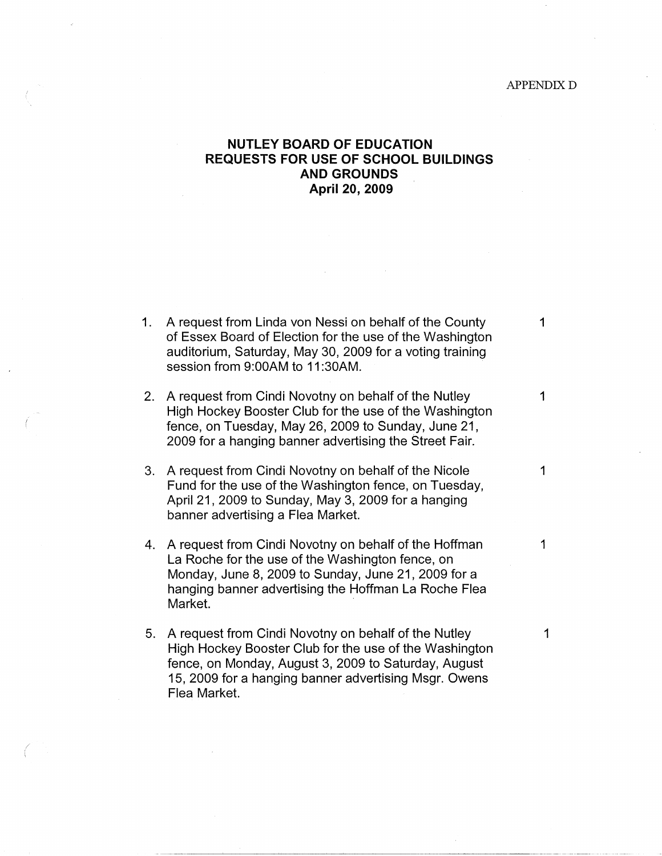## APPENDIX D

1

1

1

## **NUTLEY BOARD OF EDUCATION REQUESTS FOR USE OF SCHOOL BUILDINGS AND GROUNDS April 20, 2009**

| 1. A request from Linda von Nessi on behalf of the County                                   |
|---------------------------------------------------------------------------------------------|
| of Essex Board of Election for the use of the Washington                                    |
| auditorium, Saturday, May 30, 2009 for a voting training<br>session from 9:00AM to 11:30AM. |

2. A request from Cindi Novotny on behalf of the Nutley High Hockey Booster Club for the use of the Washington fence, on Tuesday, May 26, 2009 to Sunday, June 21, 2009 for a hanging banner advertising the Street Fair.

(

/ i

- 3. A request from Cindi Novotny on behalf of the Nicole Fund for the use of the Washington fence, on Tuesday, April 21, 2009 to Sunday, May 3, 2009 for a hanging banner advertising a Flea Market.
- 4. A request from Cindi Novotny on behalf of the Hoffman La Roche for the use of the Washington fence, on Monday, June 8, 2009 to Sunday, June 21, 2009 for a hanging banner advertising the Hoffman La Roche Flea Market.
- 5. A request from Cindi Novotny on behalf of the Nutley High Hockey Booster Club for the use of the Washington fence, on Monday, August 3, 2009 to Saturday, August 15, 2009 for a hanging banner advertising Msgr. Owens Flea Market.

---~------~~------------- -------·-·--------····---··

1

1